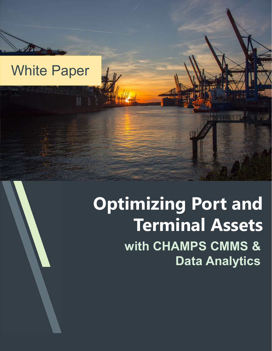### White Paper

## Optimizing Port and Terminal Assets with CHAMPS CMMS & Data Analytics

141. 141. 17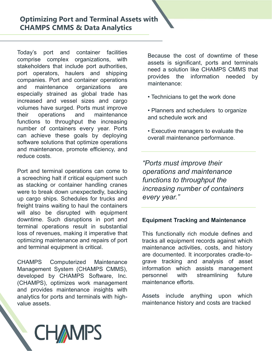**Optimizing Port and Terminal Assets with<br>
CHAMPS CMMS & Data Analytics<br>
Today's port and container facilities<br>
Today's port and container facilities<br>
stakeholders that include port operators, haulers and shipping<br>
port op CHAMPS CMMS & Data Analytics**<br> **CHAMPS CMMS & Data Analytics**<br>
Today's port and container facilities<br>
comprise complex organizations, with<br>
stakeholders that include port authorities,<br>
port operators, haulers and shipping **Optimizing Port and Terminal Assets with**<br> **CHAMPS CMMS & Data Analytics**<br>
Today's port and container facilities<br>
comprise complex organizations, with<br>
stakeholders that include port authorities,<br>
port operators, haulers **Optimizing Port and Terminal Assets with**<br> **CHAMPS CMMS & Data Analytics**<br>
Today's port and container facilities<br>
comprise complex organizations, with<br>
stakeholders that include port authorities,<br>
port operators, haulers **CHAMPS CMMS & Data Analytics**<br>
Today's port and container facilities<br>
comprise complex organizations, with<br>
stakeholders that include port authorities,<br>
port operators, haulers and shipping<br>
companies. Port and container **CHAMPS CMMS & Data Analytics**<br> **CHAMPS CMMS & Data Analytics**<br>
Today's port and container facilities<br>
comprise complex organizations, with<br>
stakeholders that include port authorities,<br>
port operators, haulers and shipping **Optimizing Port and Terminal Assets with**<br> **CHAMPS CMMS & Data Analytics**<br>
Today's port and container facilities<br>
stakeholders that include port authorities,<br>
stakeholders that include port authorities,<br>
port operators, h **CHAMPS CMMS & Data Analytics**<br> **CHAMPS CMMS & Data Analytics**<br>
Today's port and container facilities<br>
comprise complex organizations, with<br>
stakeholders that include port authorities,<br>
port operators, haulers and shipping **CHAMPS CMMS & Data Analytics**<br>
CHAMPS CMMS & Data Analytics<br>
Today's port and container facilities<br>
comprise complex organizations, with<br>
stakeholders that include port authorities,<br>
port operators, haulers and shipping<br> **Optimizing Port and Terminal Assets with**<br> **CHAMPS CMMS & Data Analytics**<br>
Today's port and container facilities<br>
Secause the cost of downtime of<br>
stakeholders that include port authorities,<br>
port operators, haulers and s **CHAMPS CMMS & Data Analytics**<br> **CHAMPS CMMS & Data Analytics**<br>
Today's port and container facilities<br>
comprise complex organizations, with<br>
stakeholders that include port authorities,<br>
port operators, haulers and shipping **Optimizing Port and Terminal Assets with**<br> **CHAMPS CMMS & Data Analytics**<br>
Today's port and container facilities<br>
comprise complex organizations, with<br>
stakeholders that include port authorities,<br>
pred a solution like CHA CHAMPS CMMS & Data Analytics<br>
Today's port and container facilities<br>
Secause the cost of downtime of the<br>
stakeholders that include port authorities,<br>
seests is significant, ports and termin<br>
stakeholders that include port CHAMPS CMMS & Data Analytics<br>
Today's port and container facilities<br>
somprise complex organizations, with<br>
sassets is significant, ports and term<br>
port operators, hauliers and shipping<br>
port operators, hauliers and shippin Today's port and container facilities<br>
secause the cost of downtime of these<br>
scomprise complex organizations, with<br>
stakeholders that include port authorities,<br>
need a solution like CHAMPS CMMS that<br>
companies. Port and c Today's port and container facilities<br>
scause the<br>
stakeholders that include port authorities,<br>
port operators, haulers and shipping<br>
and maintenance organizations are<br>
especially strained as global trade has<br>
increased an comprise complex organizations, with a seasues the cost of communite of the stateholders that include port and container operations, the port and container operations are provides to the information needed by energially st stakeholders that include port authorities,<br>
assests as signingary<br>
poed a solution like CHAMPS CMMS that<br>
companies. Port and container operations<br>
companies. Port and container operations<br>
are companizations are<br>
informa port operators, haulers and shipping<br>
revoides the information needed b<br>
container and onliainer operations are<br>
and maintenance organizations are<br>
information needed b<br>
and maintenance organizations are<br>
sepecially strain companies. Port and container operations<br>
especially strained as global trade has<br>
increased and vessel sizes and cargo<br>
volumes have surged. Ports must improve<br>
their operations of throughput the increasing<br>
functions to and maintenance organizations are<br>
ensectially strained as global trade has<br>
increased and vessel sizes and cargo<br>
increased and vessel sizes and cargo<br>
volumes have surged. Ports must improve<br>
their operations and mainten especially strained as global trade has<br>
increased and vessel sizes and cargo video solutions to perthe work done<br>
involumes have surged. Ports must improve<br>
their operations and maintenance<br>
functions to throughput the in

increased and vessel sizes and cargo<br>
vectimicians to get the work done<br>
velocumes have surged. Ports must improve<br>
their operations and maintenance<br>
functions to throughput the increasing<br>
can achieve these goals by deplo volumes have surged. Ports must improve<br>
their operations and maintenance than the increasing<br>
the increasing<br>
the increasing<br>
the increasing<br>
sumbler of containers every year. Ports<br>
solve deploying<br>
and achieve these goa their operations and maintenance<br>
functions to throughout the increasing<br>
functions to throughout the increasing<br>
number of containers every year. Ports<br>
can achieve these goals by deploying<br>
software solutions that optimi functions to throughput the increasing<br>
number of containers every year. Ports<br>
can achieve these goals by deploying<br>
software solutions that optimize operations<br>
and maintenance, promote efficiency, and<br>
reduce costs.<br>
Po number of containers every year. Ports<br>
scritive managers to evaluate the<br>
scritive resear achieve these goals by deploying<br>
scritive solutions that optimize operations<br>
and maintenance, promote efficiency, and<br>
Fort and t can achieve these goals by deploying<br>software solutions that optimize operations<br>and maintenance, promote efficiency, and<br>reduce costs.<br>Port and terminal operations can come to<br>a stecking or container handling cranes<br>as te and maintenance, promote efficiency, and<br>
reduce costs.<br>
Ports must improve their<br>
Ports must improve their<br>
as stacking or container handling cranss and maintenance<br>
as stacking or container handling cranss and maintenanc reduce costs.<br>
Fort and terminal operations can come to<br>
operations and maintenance<br>
a screeching halt if critical equipment such<br>
functions to throughput the<br>
as stacking or container handling cranes<br>
were to break down u Forts must improve their<br>
a screeching halt if critical equipment such<br>
as stacking or container handling cranes<br>
there to break down unexpectedly, backing<br>
were to break down unexpectedly, backing<br>
increasing number of co Port and terminal operations can come to<br>
a screeching halt if critical equipment such as stacking or container harding cranes<br>
as stacking or container harding cranes<br>
increasing number of container<br>
up cargo ships. Sched and provides material equipment such and the maintenance families are stacking or container handling cranes were to break down unexpectedly, backing increasing number of containers with example with equipment in equipment as stacking or container handling cranes<br>
increasing *increasing number of containers*<br>
were to break down unexpectedly, backing<br>
the cargo ships. Schedules for trucks and<br>
freight trains waiting to haul the containers<br>
wi were to break down unexpectedly, backing<br>
up cargo ships. Schedules for trucks and<br>
freight trains waiting to haul the containers<br>
will also be disrupted with equipment<br>
downtime. Such disruptions in port and<br>
terminal ope

With<br>Because the cost of downtime of these<br>assets is significant, ports and terminals<br>need a solution like CHAMPS CMMS that<br>provides the information needed by<br>maintenance: Film and the cost of downtime of these<br>assets is significant, ports and terminals<br>need a solution like CHAMPS CMMS that<br>provides the information needed by<br>maintenance: France assets is significant, ports and terminals<br>need a solution like CHAMPS CMMS that<br>provides the information needed by<br>maintenance:<br>• Technicians to get the work done **Provides the cost of downtime of these**<br> **Provides the information needed by**<br> **Provides the information needed by**<br> **Provides the information needed by**<br> **Provides the information needed by**<br> **Provides the work done** maintenance:

- Technicians to get the work done
- Planners and schedulers to organize and schedule work and
- Executive managers to evaluate the overall maintenance performance.

"Ports must improve their operations and maintenance functions to throughput the increasing number of containers every year." • Planners and schedulers to organize<br>
and schedule work and<br>
• Executive managers to evaluate the<br>
overall maintenance performance.<br>
"Ports must improve their<br>
operations and maintenance<br>
functions to throughput the<br>
incr • Executive managers to evaluate the<br>
overall maintenance performance.<br>
"Ports must improve their<br>
operations and maintenance<br>
functions to throughput the<br>
increasing number of containers<br>
every year."<br>
Equipment Tracking

Find the overall maintenance performance.<br>
The overall maintenance performance.<br>
The overations and maintenance<br>
functions to throughput the<br>
increasing number of containers<br>
every year."<br>
Equipment Tracking and Maintenanc Executive managers to evaluate the<br>overall maintenance performance.<br>
"Ports must improve their<br>operations and maintenance<br>
functions to throughput the<br>
increasing number of containers<br>
every year."<br>
Equipment Tracking and Forts must improve their<br>
"Ports must improve their<br>
operations and maintenance<br>
functions to throughput the<br>
increasing number of containers<br>
every year."<br>
Equipment Tracking and Maintenance<br>
This functionally rich module "Ports must improve their<br>operations and maintenance<br>functions to throughput the<br>increasing number of containers<br>every year."<br>Equipment Tracking and Maintenance<br>This functionally rich module defines and<br>tracks all equipmen "Ports must improve their<br>
operations and maintenance<br>
functions to throughput the<br>
increasing number of containers<br>
every year."<br>
Equipment Tracking and Maintenance<br>
This functionally rich module defines and<br>
tracks all e "Ports must improve their<br>
operations and maintenance<br>
functions to throughput the<br>
increasing number of containers<br>
every year."<br>
Equipment Tracking and Maintenance<br>
This functionally rich module defines and<br>
tracks all e operations and maintenance<br>
functions to throughput the<br>
increasing number of containers<br>
every year."<br>
Equipment Tracking and Maintenance<br>
This functionally rich module defines and<br>
tracks all equipment records against wh Functions to throughput the<br>increasing number of containers<br>every year."<br>Equipment Tracking and Maintenance<br>This functionally rich module defines and<br>tracks all equipment records against which<br>maintenance activities, costs increasing number of containers<br>every year."<br>Equipment Tracking and Maintenance<br>This functionally rich module defines and<br>tracks all equipment records against which<br>maintenance activities, costs, and history<br>are documented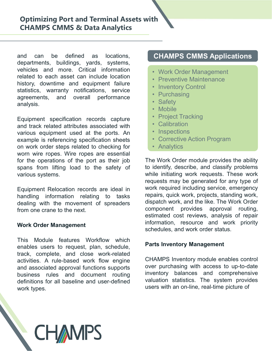**Optimizing Port and Terminal Assets with<br>
CHAMPS CMMS & Data Analytics<br>
and can be defined as locations,<br>
departments, buildings, yards, systems,<br>
vehicles and more. Critical information<br>
related to each asset can include Optimizing Port and Terminal Assets with<br>
CHAMPS CMMS & Data Analytics<br>
and can be defined as locations, CHAMPS CMMS Applications<br>
departments, buildings, yards, systems,<br>
vehicles and more. Critical information<br>
interest Optimizing Port and Terminal Assets with<br>
CHAMPS CMMS & Data Analytics<br>
and can be defined as locations,<br>
departments, buildings, yards, systems,<br>
vehicles and more. Critical information<br>
related to each asset can include Optimizing Port and Terminal Assets with**<br> **CHAMPS CMMS & Data Analytics**<br>
and can be defined as locations,<br>
departments, buildings, yards, systems,<br>
vehicles and more. Critical information<br>
related to each asset can incl **Optimizing Port and Terminal Assets with**<br> **CHAMPS CMMS & Data Analytics**<br>
and can be defined as locations,<br>
departments, buildings, yards, systems,<br>
related to each asset can include location<br>
related to each asset can i **Optimizing Port and Terminal Assets with<br>
CHAMPS CMMS & Data Analytics<br>
and can be defined as locations,<br>
departments, buildings, yards, systems,<br>
vehicles and more. Critical information<br>
related to each asset can include CHAMPS CMMS & Data Analytics**<br>
and can be defined as locations,<br>
departments, buildings, yards, systems,<br>
vehicles and more. Critical information<br>
related to each asset can include location<br>
interved and more and equipmen analysis. **CHAMPS CMMS & Data Analytics**<br>
and can be defined as locations,<br>
departments, buildings, yards, systems,<br>
vehicles and more. Critical information<br>
related to each asset can include location<br>
intervalses, warranty notifica **CHAMPS CMMS & Data Analytics**<br> **CHAMPS CMMS & Data Analytics**<br>
departments, buildings, yards, systems,<br>
departments, buildings, yards, systems,<br>
department attributes and more. Critical information<br>
interacted to each ass **CHAMPS CMMS & Data Analytics**<br> **CHAMPS CMMS & Data Analytics**<br>
departments, buildings, yards, systems,<br>
departments, buildings, yards, systems,<br>
relicted and more. Critical information<br>
include location<br>
related to each a **CHAMPS CMMS & Data Analytics**<br>
and can be defined as locations,<br>
departments, buildings, yards, systems,<br>
depicted and more. Critical information<br>
related to each asset can include location<br>
statistics, warmthy notificati

and can be defined as locations,<br>
departments, buildings, yards, systems,<br>
vehicles and more. Critical information<br>
related to each asset can include location<br>
instory, downtime and equipment failure<br>
statistics, warranty and can be defined as locations,<br>
departments, buildings, yards, systems,<br>
vehicles and more. Critical information<br>
related to each asset can include location<br>
instory, downtime and equipment failure<br>
statistics, warranty and can be defined as locations,<br>
departments, buildings, yards, systems,<br>
vehicles and more. Critical information<br>
related to each asset can include location<br>
instrony, downtime and equipment failure<br>
statistics, warranty and can be defined as locations,<br>
departments, buildings, yards, systems,<br>
denices and more. Critical information<br>
related to each asset can include location<br>
statistics, warmany notifications, service<br>
statistics, warmany various systems. analysis.<br>
Equipment specification records capture<br>
Equipment specification records capture<br>
Equipment specification records capture<br>
example is referencing specification shows equipment used at the ports. An<br>
example is r Equipment specification records capture<br>
and track related attributes associated with<br>
various equipment used at the ports. An<br>
example is referencing specification sheets<br>
on work order steps related to checking for<br>
worm

While initiative requests meant of spreaders while initiative requests meantling information records are ideal in work requires, quice dealing with the movement of spreaders dispatch work order Management from one crane to

**CHAMPS** 

## CHAMPS CMMS Applications **CHAMPS CMMS Applications<br>• Work Order Management<br>• Preventive Maintenance<br>• Inventory Control<br>• Purchasing CHAMPS CMMS Applications<br>• Work Order Management<br>• Preventive Maintenance<br>• Inventory Control<br>• Purchasing<br>• Safety CHAMPS CMMS Applications<br>• Work Order Management<br>• Preventive Maintenance<br>• Inventory Control<br>• Purchasing<br>• Safety<br>• Mobile CHAMPS CMMS Applications<br>• Work Order Management<br>• Preventive Maintenance<br>• Inventory Control<br>• Purchasing<br>• Safety<br>• Mobile<br>• Project Tracking CHAMPS CMMS Applications<br>
• Work Order Management<br>
• Preventive Maintenance<br>
• Inventory Control<br>
• Purchasing<br>
• Safety<br>
• Mobile<br>
• Project Tracking<br>
• Calibration<br>
• Calibration CHAMPS CMMS Applications<br>• Work Order Management<br>• Preventive Maintenance<br>• Inventory Control<br>• Purchasing<br>• Safety<br>• Mobile<br>• Project Tracking<br>• Calibration<br>• Inspective Action Program CHAMPS CMMS Applications**<br>• Work Order Management<br>• Preventive Maintenance<br>• Inventory Control<br>• Purchasing<br>• Safety<br>• Mobile<br>• Project Tracking<br>• Calibration<br>• Inspections<br>• Corrective Action Program **CHAMPS CMMS Applications**<br>
• Work Order Management<br>
• Preventive Maintenance<br>
• Inventory Control<br>
• Purchasing<br>
• Safety<br>
• Mobile<br>
• Project Tracking<br>
• Calibration<br>
• Inspections<br>
• Corrective Action Program<br>
• Analyti **CHAMPS CMMS Applications**<br>
• Work Order Management<br>
• Preventive Maintenance<br>
• Inventory Control<br>
• Purchasing<br>
• Safety<br>
• Mobile<br>
• Project Tracking<br>
• Calibration<br>
• Inspections<br>
• Corrective Action Program<br>
• Analyti

- 
- 
- 
- 
- 
- 
- 
- 
- 
- 
- 

related to each asset can include location<br>
interiors are statistics, warming equipment failure<br>
interiors are statistics, warranty notifications, service<br>
are statistics are interiors are interiors are interiors are inter history, downtime and equipment failure<br>
statistics, warranty notifications, service<br>
argreements, and overall performance<br>
argreements, and overall performance<br>
argreements, and overall performance<br>
example is referencing statistics, warranty notifications, service<br>
analysis.<br>
analysis.<br>
analysis.<br>
Equipment specification records capture<br>
various equipment used at the ports. An<br>
various equipment used at the ports. An<br>
worn wire ropes relat and track related attributes associated with<br>
various equipment used at the ports. An<br>
various equipment selections sheets<br>
on work order steps related to checking for<br>
on work order steps related to checking for<br>
for the various equipment used at the ports. An<br>
example is referencing specification sheets<br>
on work order steps related to checking for<br>
to the operation sheet of the port as their job<br>
spans from lifting load to the safety of<br> example is referencing specification sheets<br>
on work order steps related to checking for<br>
owom wire ropes. Wire ropes are essential<br>
for the operations of the port as their job<br>
spans from lifting load to the safety of<br>
to on work order steps related to checking for<br>
work wire ropes. Wire ropes are essential<br>
for the operations of the port are stensitial<br>
spans from lifting load to the safety of<br>
to identify, describe, and classify problems<br> wom wire ropes. Wire ropes are essential<br>for the operations of the port as their job<br>for the Work Order module provides the ability<br>spans from lifting load to the safety of<br>the initiating work requests. These wo<br>requests m for the operations of the port as their job<br>
spans from lifting load to the safety of<br>
void to identify, describe, and classify problems<br>
various systems.<br>
Warious systems.<br>
Equipment Relocation records are ideal in<br>
Anand spans from lifting load to the safety of the cuentity, describe, and classity provained systems.<br>
While initiality work required including work requests. These<br>
Equipment Relocation records are ideal in work required inclu **CHAMPS CMMS Applications**<br>
• Work Order Management<br>
• Preventive Maintenance<br>
• Inventory Control<br>
• Purchasing<br>
• Safety<br>
• Mobile<br>
• Project Tracking<br>
• Calibration<br>
• Inspections<br>
• Corrective Action Program<br>
• Analyti **CHAMPS CMMS Applications**<br>
• Work Order Management<br>
• Preventive Maintenance<br>
• Inventory Control<br>
• Purchasing<br>
• Safety<br>
• Mobile<br>
• Project Tracking<br>
• Calibration<br>
• Inspections<br>
• Corrective Action Program<br>
• Analyti • Work Order Management<br>• Preventive Maintenance<br>• Inventory Control<br>• Purchasing<br>• Safety<br>• Mobile<br>• Project Tracking<br>• Calibration<br>• Inspections<br>• Corrective Action Program<br>• Analytics<br>The Work Order module provides the • Work Order Management<br>• Preventive Maintenance<br>• Inventory Control<br>• Purchasing<br>• Safety<br>• Mobile<br>• Project Tracking<br>• Calibration<br>• Inspections<br>• Corrective Action Program<br>• Analytics<br>The Work Order module provides the Work Order Maintenance<br>
• Preventive Maintenance<br>
• Inventory Control<br>
• Purchasing<br>
• Safety<br>
• Mobile<br>
• Project Tracking<br>
• Calibration<br>
• Inspections<br>
• Corrective Action Program<br>
• Analytics<br>
The Work Order module pro • Preventive maintenance<br>• Inventory Control<br>• Purchasing<br>• Safety<br>• Mobile<br>• Project Tracking<br>• Calibration<br>• Inspections<br>• Corrective Action Program<br>• Analytics<br>The Work Order module provides the ability<br>to identify, des • Inventory Control<br>• Purchasing<br>• Safety<br>• Mobile<br>• Project Tracking<br>• Calibration<br>• Inspections<br>• Corrective Action Program<br>• Analytics<br>The Work Order module provides the ability<br>to identify, describe, and classify probl • Purchasing<br>• Safety<br>• Mobile<br>• Project Tracking<br>• Calibration<br>• Inspections<br>• Corrective Action Program<br>• Analytics<br>The Work Order module provides the ability<br>to identify, describe, and classify problems<br>while initiating • Safety<br>• Mobile<br>• Project Tracking<br>• Calibration<br>• Inspections<br>• Corrective Action Program<br>• Analytics<br>The Work Order module provides the ability<br>to identify, describe, and classify problems<br>while initiating work request • Mobile<br>• Project Tracking<br>• Calibration<br>• Inspections<br>• Corrective Action Program<br>• Analytics<br>The Work Order module provides the ability<br>to identify, describe, and classify problems<br>while initiating work requests. These • Project Tracking<br>• Calibration<br>• Inspections<br>• Corrective Action Program<br>• Analytics<br>The Work Order module provides the ability<br>to identify, describe, and classify problems<br>while initiating work requests. These work<br>requ • Inspections<br>• Corrective Action Program<br>• Analytics<br>The Work Order module provides the ability<br>to identify, describe, and classify problems<br>while initiating work requests. These work<br>requests may be generated for any typ **• Analytics**<br>The Work Order module provides the ability<br>to identify, describe, and classify problems<br>while initiating work requests. These work<br>requests may be generated for any type of<br>work required including service, em The Work Order module provides the ability<br>to identify, describe, and classify problems<br>while initiating work requests. These work<br>requests may be generated for any type of<br>work required including service, emergency<br>repair The Work Order module provides the ability<br>to identify, describe, and classify problems<br>while initiating work requests. These work<br>requests may be generated for any type of<br>work required including service, emergency<br>repair to identify, describe, and classify problems<br>while initiating work requests. These work<br>requests may be generated for any type of<br>work required including service, emergency<br>repairs, quick work, projects, standing work,<br>dis while initiating work requests. These work<br>requests may be generated for any type of<br>work required including service, emergency<br>repairs, quick work, projects, standing work,<br>dispatch work, and the like. The Work Order<br>comp **CHAMPS CMMS Applications**<br>
• Work Order Management<br>
• Preventive Maintenance<br>
• Inventory Control<br>
• Purchasing<br>
• Safety<br>
• Mobile<br>
• Project Tracking<br>
• Calibration<br>
• Inspections<br>
• Corrective Action Program<br>
• Analyti **CHAMPS CMMS Applications**<br>
• Work Order Management<br>
• Preventive Maintenance<br>
• Inventory Control<br>
• Purchasing<br>
• Safety<br>
• Mobile<br>
• Project Tracking<br>
• Calibration<br>
• Inspections<br>
• Corrective Action Program<br>
• Analyti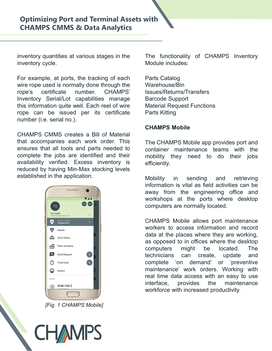**Optimizing Port and Terminal Assets with**<br> **CHAMPS CMMS & Data Analytics**<br>
inventory quantities at various stages in the The functionality of CHAMPS Inventory<br>
inventory cycle. Module includes:<br>
For example, at ports, the **Optimizing Port and Terminal Assets with<br>
CHAMPS CMMS & Data Analytics<br>
inventory quantities at various stages in the The functionality of CHAMPS Inventory<br>
inventory cycle. Module includes:<br>
For example, at ports, the tr Optimizing Port and Terminal Assets with**<br> **CHAMPS CMMS & Data Analytics**<br>
inventory quantities at various stages in the The functionality of CHAMPS Invent<br>
inventory cycle. Module includes:<br>
For example, at ports, the tr **Optimizing Port and Terminal Assets with**<br> **CHAMPS CMMS & Data Analytics**<br>
Inventory quantities at various stages in the The functionality of CHAMPS Inventor<br>
Inventory cycle.<br>
For example, at ports, the tracking of each<br> **Optimizing Port and Terminal Assets with**<br> **CHAMPS CMMS & Data Analytics**<br>
inventory quantities at various stages in the<br>
Internationality of CHAMPS Inventory<br>
inventory cycle.<br>
For example, at ports, the tracking of each **Optimizing Port and Terminal Assets with**<br> **CHAMPS CMMS & Data Analytics**<br>
inventory quantities at various stages in the<br>
inventory cycle.<br>
For example, at ports, the tracking of each<br>
Parts Catalog<br>
Wire rope used is nor **Optimizing Port and Terminal Assets with**<br> **CHAMPS CMMS & Data Analytics**<br>
inventory quantities at various stages in the The functionality of Ch<br>
inventory cycle. Module includes:<br>
For example, at ports, the tracking of e **CHAMPS CMMS & Data Analytics**<br>
inventory quantities at various stages in the<br>
inventory cycle.<br>
For example, at ports, the tracking of each<br>
Module includes:<br>
For example, at ports, the tracking of each<br>
Warehouse/Bin<br>
wi **CHAMPS CMMS & Data Analytics**<br>
inventory quantities at various stages in the<br>
The functionality of CHAMPS Inventory<br>
inventory cycle.<br>
For example, at ports, the tracking of each<br>
Parts Catalog<br>
wire rope used is normally inventory quantities at various stages in the The functionality of CHAMPS Inventory<br>
inventory cycle. Moreon the tracking of each Parts Catalog<br>
inversing to exercise the snormally done through the Warehouse Bin<br>
prope's c

inventory quantities at various stages in the The functionality of CHAMPS Inventory<br>inventory cycle. Module includes:<br>For example, at ports, the tracking of each Parts Catalog<br>wire rope used is normally done through the Wa inventory quantities at various stages in the The functionality of CHAMPS Inventory<br>
inventory cycle. Module includes:<br>
For example, at ports, the tracking of each Parts Catalog<br>
wire rope used is normally done through the inventory quantities at various stages in the The functionality of CHAMPS Inventory<br>
inventory cycle. Module includes:<br>
For example, at ports, the tracking of each Parts Catalog<br>
wire rope used is normally done through the Inventory cycle. Module includes:<br>
For example, at ports, the tracking of each<br>
Wire rope used is normally done through the<br>
Warehouse/Bin<br>
rope's certificate number. CHAMPS' Issues/Returns/Transfers<br>
Inventory Serial/Lot



[Fig. 1 CHAMPS Mobile]

**AMPS** 

With<br>The functionality of CHAMPS Inventory<br>Module includes:<br>Parts Catalog With<br>
The functionality of CHAMPS Inventory<br>
Module includes:<br>
Parts Catalog<br>
Warehouse/Bin<br>
Issues/Returns/Transfers

Parts Catalog Warehouse/Bin Issues/Returns/Transfers Barcode Support Material Request Functions Parts Kitting With<br>
The functionality of CHAMPS Inventory<br>
Module includes:<br>
Parts Catalog<br>
Warehouse/Bin<br>
Issues/Returns/Transfers<br>
Barcode Support<br>
Material Request Functions<br>
Parts Kitting<br>
CHAMPS Mobile<br>
The CHAMPS Mobile app provid

The functionality of CHAMPS Inventory<br>
Module includes:<br>
Parts Catalog<br>
Warehouse/Bin<br>
Issues/Returns/Transfers<br>
Barcode Support<br>
Material Request Functions<br>
Parts Kitting<br>
CHAMPS Mobile<br>
The CHAMPS Mobile app provides por The functionality of CHAMPS Inventory<br>
Module includes:<br>
Parts Catalog<br>
Warehouse/Bin<br>
Issues/Returns/Transfers<br>
Barcode Support<br>
Material Request Functions<br>
Parts Kitting<br>
CHAMPS Mobile app provides port and<br>
container ma The functionality of CHAMPS Inventory<br>
Module includes:<br>
Parts Catalog<br>
Warehouse/Bin<br>
Issues/Returns/Transfers<br>
Barcode Support<br>
Material Request Functions<br>
Parts Kitting<br>
CHAMPS Mobile<br>
The CHAMPS Mobile app provides por efficiently.

Module Includes:<br>
Parts Catalog<br>
Warehouse/Bin<br>
Issues/Returns/Transfers<br>
Barcode Support<br>
Material Request Functions<br>
Parts Kitting<br>
CHAMPS Mobile<br>
The CHAMPS Mobile app provides port and<br>
container maintenance teams with Parts Catalog<br>
Warehouse/Bin<br>
Issues/Returns/Transfers<br>
Barcode Support<br>
Material Request Functions<br>
Parts Kitting<br>
CHAMPS Mobile<br>
The CHAMPS Mobile app provides port and<br>
container maintenance teams with the<br>
mobility the Parts Catalog<br>
Warehouse/Bin<br>
Issues/Returns/Transfers<br>
Barcode Support<br>
Material Request Functions<br>
Parts Kitting<br>
CHAMPS Mobile<br>
The CHAMPS Mobile app provides port and<br>
container maintenance teams with the<br>
mobility the Warehouse/Bin<br>
Issues/Returns/Transfers<br>
Barcode Support<br>
Material Request Functions<br>
Parts Kitting<br>
CHAMPS Mobile<br>
The CHAMPS Mobile app provides port and<br>
container maintenance teams with the<br>
mobility they need to do th Issues/Returns/Transfers<br>Barcode Support<br>Material Request Functions<br>Parts Kitting<br>CHAMPS Mobile app provides port and<br>container maintenance teams with the<br>mobility they need to do their jobs<br>efficiently.<br>Mobility in sendin Material Request Functions<br>
Parts Kitting<br>
CHAMPS Mobile app provides port and<br>
container maintenance teams with the<br>
mobility they need to do their jobs<br>
efficiently.<br>
Mobility in sending and retrieving<br>
information is vi

Parts Kitting<br>
CHAMPS Mobile app provides port and<br>
container maintenance teams with the<br>
mobility they need to do their jobs<br>
efficiently.<br>
Mobility in sending and retrieving<br>
information is vital as field activities can **CHAMPS Mobile**<br>
The CHAMPS Mobile app provides port and<br>
container maintenance teams with the<br>
mobility they need to do their jobs<br>
efficiently.<br>
Mobility in sending and retrieving<br>
information is vital as field activitie **CHAMPS Mobile**<br>The CHAMPS Mobile app provides port and<br>container maintenance teams with the<br>mobility they need to do their jobs<br>efficiently.<br>Mobility in sending and retrieving<br>information is vital as field activities can The CHAMPS Mobile app provides port and<br>container maintenance teams with the<br>mobility they need to do their jobs<br>efficiently.<br>Mobility in sending and retrieving<br>information is vital as field activities can be<br>away from the The CHAMPS Mobile app provides port and<br>container maintenance teams with the<br>mobility they need to do their jobs<br>efficiently.<br>Mobility in sending and retrieving<br>information is vital as field activities can be<br>away from the container maintenance teams with the<br>mobility they need to do their jobs<br>efficiently.<br>Mobility in sending and retrieving<br>information is vital as field activities can be<br>away from the engineering office and<br>workshops at the mobility they need to do their jobs<br>efficiently.<br>Mobility in sending and retrieving<br>information is vital as field activities can be<br>away from the engineering office and<br>workshops at the ports where desktop<br>computers are no efficiently.<br>
Mobility in sending and retrieving<br>
information is vital as field activities can be<br>
away from the engineering office and<br>
workshops at the ports where desktop<br>
computers are normally located.<br>
CHAMPS Mobile Mobility in sending and retrieving<br>information is vital as field activities can be<br>away from the engineering office and<br>workshops at the ports where desktop<br>computers are normally located.<br>CHAMPS Mobile allows port mainten Mobility in sending and retrieving<br>information is vital as field activities can be<br>away from the engineering office and<br>workshops at the ports where desktop<br>computers are normally located.<br>CHAMPS Mobile allows port mainten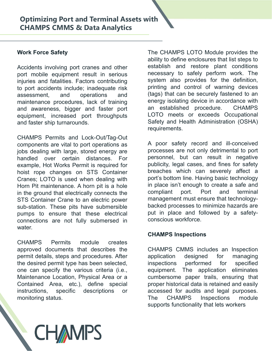**Optimizing Port and Terminal Assets with**<br> **CHAMPS CMMS & Data Analytics**<br>
Work Force Safety<br>
The CHAMPS LOTO<br>
ability to define enclo<br>
port mobile equipment result in serious<br>
increases and other<br>
interesting in the exer **CHAMPS CMMS & Data Analytics**<br>
Work Force Safety<br>
Nork Force Safety<br>
The CHAMPS LOTO Module is<br>
ability to define enclosures that<br>
port mobile equipment result in serious<br>
necessary to safely perform<br>
injuries and fatalit

Accidents involving port cranes and other<br>sability to define enclosures that list step<br>port mobile equipment result in serious<br>necessary to safely perform work.<br>injuries and fatalities. Factors contributing<br>system also pro Accidents involving port cranes and other establish and restore plant conditions<br>port mobile equipment result in serious necessary to safely perform work. The<br>injuries and fatalities. Factors contributing system also provi port mobile equipment result in serious<br>
in encessary to safely perform work. The<br>
injuries and fatallities. Factors contitibuting<br>
in the distribution, the definition, the distribution<br>
to port accidents include; inadequa injuries and fatalities. Factors contributing system also provides for the definition,<br>assessment, and operations and (tags) that can be securely fastened to an<br>assessment, and operations and (tags) that can be securely fa to port accidents include; inadequate risk<br>
envirting and control of warning devices<br>
areasses mentic, and operations and itags) that can be securely fastened to an<br>
maintenance procedures, lack of training<br>
energy isolati assessment, and operations and (tags) that can be securely fastened<br>maintenance procedures, lack of training emergy isolating device in accordance.<br>Equipment, increased port throughputs<br>LOTO meets or exceeds Occup-<br>and fas maintenance procedures, lack of training<br>
energy isolating device in accordance v<br>
equipment, increased port throughputs<br>
equipment, increased port throughputs<br>
ECITO meets or exceeds Occupatio<br>
and faster ship turnarounds and awareness, bigger and faster port an established procedure. CHAMPS<br>
equipment, increased port firoughputs<br>
and faster ship turnarounds.<br>
CMAMPS Permits and Lock-Out/Tag-Out<br>
Components are vital to port operations as<br> water. CHAMPS Permits and Lock-Out/Tag-Out<br>
requirements.<br>
components are vital to port operations as<br>
A poor safety record and ill-conceive<br>
jobs dealing with large, stored energy are<br>
processes are not only detrimental to po<br>
e CHAMPS Permits and Lock-Out/Tag-Out<br>
components are widt to port operations as<br>
components are width to port operations as<br>
(bios dealing with large, stored energy are<br>
processes are not only detrimental to port<br>
handled o components are vital to port operations as A poor safety record and ill-conceived<br>
plots dealing with large, stored energy are<br>
handled over certain distances. For personnel, but can result in negative<br>
example, Hot Works ions dealing with large, stored energy are<br>
processes are not only detrimental to processes are not only detrimental to processes. For<br>
example, Hot Works Permit is required for<br>
publicity, legal cases, and fines for sales handled over certain distances. For personnel, but can result in negative<br>example, Hot Works Permit is required for publicity, legal cases, and fines for safety<br>chair that is resulted to the specific specific contents; LOT example, Hot Works Permit is required for publicity, legal cases, and fines for safety<br>
hoist tope changes on STS Container breaches which can severly affect a<br>
foranes; LOTO is used when dealing with port's bottom line. H hoist rope changes on STS Container<br>
Crames; LOTO is used when dealing with each the contrine. Having basic technology<br>
Contain Henri and the control is a hole in place isn't enough to create a safe an<br>
in the ground that

Cranes; LOTO is used when dealing with<br>
port's bottom line. Having basic technology<br>
Hom Pitt maintenance. A horn pit is a hole in place isn't enough to create a safe and<br>
in the ground that electrically connects the<br>
comp Hom Pit maintenance. A horn pit is a hole in place isn't ence<br>in the ground that electrically connects the<br>STS Container Crane to an electric power management mum<br>sub-status. These pits have submersible backed processe<br>pum

**CHAMPS CMMS & Data Analytics**<br>
Work Force Safety<br>
Work Force Safety<br>
Accidents involving port cranes and other<br>
Accidents involving port cranes and other<br>
Accidents involving port cranes and other<br>
injuries and fatalities **Optimizing Port and Terminal Assets with**<br> **CHAMPS CMMS & Data Analytics**<br>
Work Force Safety<br>
Nork Force Safety<br>
The CHAMPS LOTO Module provides the<br>
ability to define enclosures that list steps to<br>
accidents involving po Optimizing Port and Terminal Assets with<br>
CHAMPS CMMS & Data Analytics<br>
Work Force Safety<br>
Work Force Safety<br>
For the CHAMPS LOTO Module provide<br>
ability to define enclosures that list steps<br>
port mobile equipment result i **CHAMPS CMMS & Data Analytics**<br> **CHAMPS CMMS & Data Analytics**<br>
Work Force Safety<br>
Nork Force Safety<br>
The CHAMPS LOTO Module provides the<br>
ability to define enclosures that list steps to<br>
port mobile equipment result in se **Optimizing Port and Terminal Assets with**<br> **CHAMPS CMMS & Data Analytics**<br>
Work Force Safety<br>
Work Force Safety<br>
The CHAMPS LOTO Module provides the<br>
ability to define enclosures that list steps to<br>
ability to define encl **Optimizing Port and Terminal Assets with**<br> **CHAMPS CMMS & Data Analytics**<br>
Work Force Safety<br>
Mork Force Safety<br>
The CHAMPS LOTO Module provides the<br>
pott mobile equipment result in serious<br>
necessary to safely perform wo **CHAMPS CMMS & Data Analytics**<br> **CHAMPS CMMS & Data Analytics**<br>
Work Force Safety<br>
Work Force Safety<br>
Accidents involving port cranes and other<br>
ability to define enclosures that list steps to<br>
eactions in experiment resul **CHAMPS CMMS & Data Analytics**<br> **CHAMPS CMMS & Data Analytics**<br>
Work Force Safety<br>
Work Force Safety<br>
The CHAMPS LOTO Module provide<br>
ability to define enclosures that list at<br>
port mobile equipment result in serious<br>
incr CHAMPS CONDINGTON THE CHAMPS LOTO Module provides the<br>
ability to define enclosures that list steps to<br>
ability to define enclosures that list steps to<br>
primising involving port cranes and other<br>
invision of mobile equipme Work Force Safety<br>
The CHAMPS LOTO Module provides the<br>
ability to define enclosures that list steps to<br>
ability to define enclosures that list steps to<br>
port mobile equipment result in serious<br>
increases are plant conditi Work Force Safety<br>
The CHAMPS LOTO Module provides the<br>
ability to define enclosures that list steps to<br>
port mobile equipment result in serious<br>
incluises. Factors contributing<br>
increases to to safely perform work. The<br>
i Work Force Safety<br>
The CHAMPS LOTO Module provides the<br>
actions and other<br>
actions and the second that is steps to<br>
be detailies. Factors contributions<br>
in interactions<br>
in the equipment result in serious<br>
necessary to saf The CHAMPS LOTO Module provides the<br>ability to define enclosures that list steps to<br>establish and restore plant conditions<br>necessary to safely perform work. The<br>system also provides for the definition. Find CHAMPS LOTO Module provides the<br>ability to define enclosures that list steps to<br>establish and restore plant conditions<br>necessary to safely perform work. The<br>system also provides for the definition,<br>printing and contro Fine CHAMPS LOTO Module provides the<br>ability to define enclosures that list steps to<br>establish and restore plant conditions<br>necessary to safely perform work. The<br>system also provides for the definition,<br>printing and contro The CHAMPS LOTO Module provides the<br>ability to define enclosures that list steps to<br>establish and restore plant conditions<br>necessary to safely perform work. The<br>system also provides for the definition,<br>printing and control Find CHAMPS LOTO Module provides the<br>ability to define enclosures that list steps to<br>establish and restore plant conditions<br>necessary to safely perform work. The<br>system also provides for the definition,<br>printing and contro **The CHAMPS LOTO Module provides the**<br>
The CHAMPS LOTO Module provides the<br>
ability to define enclosures that list steps to<br>
establish and restore plant conditions<br>
necessary to safely perform work. The<br>
system also provid The CHAMPS LOTO Module provides the<br>
ability to define enclosures that list steps to<br>
establish and restore plant conditions<br>
necessary to safely perform work. The<br>
system also provides for the definition,<br>
printing and co Fith<br>The CHAMPS LOTO Module provides the<br>ability to define enclosures that list steps to<br>establish and restore plant conditions<br>necessary to safely perform work. The<br>system also provides for the definition,<br>printing and co The CHAMPS LOTO Module provides the<br>ability to define enclosures that list steps to<br>establish and restore plant conditions<br>necessary to safely perform work. The<br>system also provides for the definition,<br>printing and control The CHAMPS LOTO Module provides the<br>ability to define enclosures that list steps to<br>establish and restore plant conditions<br>necessary to safely perform work. The<br>system also provides for the definition,<br>printing and control The CHAMPS LOTO Module provides the<br>ability to define enclosures that list steps to<br>establish and restore plant conditions<br>necessary to safely perform work. The<br>system also provides for the definition,<br>printing and control requirements. The CHAMPS LOTO Module provides the<br>ability to define enclosures that list steps to<br>establish and restore plant conditions<br>necessary to safely perform work. The<br>system also provides for the definition,<br>printing and control The CHAMPS LOTO Module provides the<br>ability to define enclosures that list steps to<br>establish and restore plant conditions<br>necessary to safely perform work. The<br>system also provides for the definition,<br>printing and control The CHAMPS LOTO Module provides the<br>ability to define enclosures that list steps to<br>establish and restore plant conditions<br>necessary to safely perform work. The<br>system also provides for the definition,<br>printing and control The CHAMPS LOTO Module provides the<br>ability to define enclosures that list steps to<br>establish and restore plant conditions<br>necessary to safely perform work. The<br>system also provides for the definition,<br>printing and control ability to define enclosures that list steps to<br>establish and restore plant conditions<br>necessary to safely perform work. The<br>system also provides for the definition,<br>printing and control of warning devices<br>(tags) that can establish and restore plant conditions<br>necessary to safely perform work. The<br>system also provides for the definition,<br>printing and control of warning devices<br>(tags) that can be securely fastened to an<br>energy isolating devi

necessary to safely perform work. The<br>system also provides for the definition,<br>printing and control of warning devices<br>(tags) that can be securely fastened to an<br>energy isolating device in accordance with<br>an established pr system also provides for the definition,<br>printing and control of warning devices<br>(tags) that can be securely fastened to an<br>energy isolating device in accordance with<br>an established procedure. CHAMPS<br>LOTO meets or exceeds printing and control of warning devices<br>(tags) that can be securely fastened to an<br>energy isolating device in accordance with<br>an established procedure. CHAMPS<br>LOTO meets or exceeds Occupational<br>Safety and Health Administra (tags) that can be securely fastened to an<br>energy isolating device in accordance with<br>an established procedure. CHAMPS<br>LOTO meets or exceeds Occupational<br>Safety and Health Administration (OSHA)<br>requirements.<br>A poor safety energy isolating device in accordance with<br>an established procedure. CHAMPS<br>LOTO meets or exceeds Occupational<br>Safety and Health Administration (OSHA)<br>requirements.<br>A poor safety record and ill-conceived<br>processes are not an established procedure. CHAMPS<br>LOTO meets or exceeds Occupational<br>Safety and Health Administration (OSHA)<br>requirements.<br>A poor safety record and ill-conceived<br>processes are not only detrimental to port<br>personnel, but can Safety and Health Administration (OSHA)<br>requirements.<br>A poor safety record and ill-conceived<br>processes are not only detrimental to port<br>personnel, but can result in negative<br>publicity, legal cases, and fines for safety<br>bre A poor safety record and ill-conceived<br>processes are not only detrimental to port<br>personnel, but can result in negative<br>publicity, legal cases, and fines for safety<br>breaches which can severely affect a<br>port's bottom line. A poor safety record and ill-conceived<br>processes are not only detrimental to port<br>personnel, but can result in negative<br>publicity, legal cases, and fines for safety<br>breaches which can severely affect a<br>port's bottom line. processes are not only detrimental to port<br>personnel, but can result in negative<br>publicity, legal cases, and fines for safety<br>breaches which can severely affect a<br>port's bottom line. Having basic technology<br>in place isn't personnel, but can result in negative<br>publicity, legal cases, and fines for safety<br>breaches which can severely affect a<br>port's bottom line. Having basic technology<br>in place isn't enough to create a safe and<br>compliant port. publicity, legal cases, and fines for safety<br>breaches which can severely affect a<br>port's bottom line. Having basic technology<br>in place isn't enough to create a safe and<br>compliant port. Port and terminal<br>management must ens

breaches which can severely affect a<br>port's bottom line. Having basic technology<br>in place isn't enough to create a safe and<br>compliant port. Port and terminal<br>management must ensure that technology-<br>backed processes to mini port's bottom line. Having basic technology<br>in place isn't enough to create a safe and<br>compliant port. Port and terminal<br>management must ensure that technology-<br>backed processes to minimize hazards are<br>put in place and fol in place isn't enough to create a safe and<br>compliant port. Port and terminal<br>management must ensure that technology-<br>backed processes to minimize hazards are<br>put in place and followed by a safety-<br>conscious workforce.<br>**CHA** compliant port. Port and terminal<br>management must ensure that technology-<br>backed processes to minimize hazards are<br>put in place and followed by a safety-<br>conscious workforce.<br>**CHAMPS Inspections**<br>CHAMPS CMMS includes an In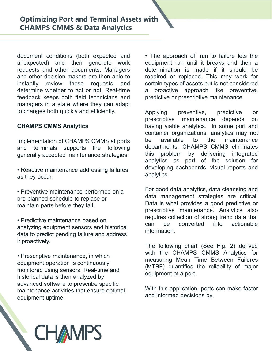**Optimizing Port and Terminal Assets with**<br> **CHAMPS CMMS & Data Analytics**<br>
document conditions (both expected and  $\cdot$  The approach of, run to failure lets<br>
unexpected) and then generate work equipment run until it breaks **Optimizing Port and Terminal Assets with**<br> **CHAMPS CMMS & Data Analytics**<br> **document** conditions (both expected and  $\bullet$  The approach of, run to failure lets the<br>
nunexpected) and then generate work equipment run until it **Optimizing Port and Terminal Assets with**<br> **CHAMPS CMMS & Data Analytics**<br>
document conditions (both expected and  $\cdot$  The approach of, run to failure lets the<br>
requests and other documents. Managers<br>
and other decision **Optimizing Port and Terminal Assets with**<br> **CHAMPS CMMS & Data Analytics**<br>
document conditions (both expected and<br>
the generate work<br>
equipment run until it breaks and ther<br>
requests and other documents. Managers<br>
are the **Optimizing Port and Terminal Assets with**<br> **CHAMPS CMMS & Data Analytics**<br>
document conditions (both expected and<br>
unexpected) and then generate work equipment run until it breaks and then a<br>
requests and other documents. **Optimizing Port and Terminal Assets with**<br> **CHAMPS CMMS & Data Analytics**<br>
document conditions (both expected and  $\bullet$  The approach of, run to failure lets the<br>
unexpected) and then generate work equipment run until it br **Optimizing Port and Terminal Assets with**<br> **CHAMPS CMMS & Data Analytics**<br>
document conditions (both expected and<br>
unexpected) and then generate work<br>
equipment run until it breaks and<br>
ensumistantly review these requests **Optimizing Port and Terminal Assets with**<br> **CHAMPS CMMS & Data Analytics**<br>
document conditions (both expected and<br>
unexpected) and then generate work equipment run until it it<br>
requests and other documents. Managers deter **CHAMPS CMMS & Data Analytics**<br>
document conditions (both expected and  $\cdot$  The approach of, run to failure lets the<br>
unexpected) and then generate work equipment run until it breaks and then a<br>
requests and other document document conditions (both expected and<br>
unexpected) and then generate work<br>
equipment run until it breaks and the<br>
requests and other documents. Managers<br>
and other decision makers are then able to<br>
expected or prejaced. T

- as they occur.
- maintain parts before they fail.
- analyzing equipment sensors and historical can be data to predict pending failure and address it proactively.

monitored using sensors. Real-time and the contract of the contract of the contract of the contract of the contract of the contract of the contract of the contract of the contract of the contract of the contract of the con historical data is then analyzed by advanced software to prescribe specific<br>maintenance activities that ensure optimal With this application, ports can make faster maintenance activities that ensure optimal with this application, ports<br>equipment untime equipment uptime.

**Optimizing Port and Terminal Assets with**<br> **CHAMPS CMMS & Data Analytics**<br>
document conditions (both expected and  $\cdot$  The approach of, run to failure lets the<br>
unexpected) and then generate work equipment run until it br **Optimizing Port and Terminal Assets with**<br> **CHAMPS CMMS & Data Analytics**<br>
document conditions (both expected and  $\cdot$  The approach of, run to failure lets the<br>
unexpected) and then generate work equipment run until it br with<br>
• The approach of, run to failure lets the<br>
equipment run until it breaks and then a<br>
determination is made if it should be<br>
repaired or replaced. This may work for<br>
certain types of assets but is not considered equipment run until it breaks and then a with<br>
• The approach of, run to failure lets the<br>
equipment run until it breaks and then a<br>
determination is made if it should be<br>
repaired or replaced. This may work for<br>
certain types of assets but is not considered<br>
a p with<br>
The approach of, run to failure lets the<br>
equipment run until it breaks and then a<br>
determination is made if it should be<br>
repaired or replaced. This may work for<br>
certain types of assets but is not considered<br>
a pro with<br>
• The approach of, run to failure lets the<br>
equipment run until it breaks and then a<br>
determination is made if it should be<br>
repaired or replaced. This may work for<br>
certain types of assets but is not considered<br>
a p with<br>
• The approach of, run to failure lets the<br>
equipment run until it breaks and then a<br>
determination is made if it should be<br>
repaired or replaced. This may work for<br>
certain types of assets but is not considered<br>
a p **Predictive or predictive maintenance**<br> **predictive main tensor**<br> **predictive or predictive maintenance** in the state of the prepared or replaced. This may work for<br>
certain types of assets but is not considered<br>
a proacti **Follow The Superior Science Applying**<br> **Applying to the manufolic original start of the equipment run until it breaks and then a determination is made if it should be repaired or replaced. This may work for certain types Figure 12**<br> **Figure 12**<br> **Figure 12**<br> **Figure 12**<br> **Figure 12**<br> **Figure 12**<br> **Figure 12**<br> **Figure 12**<br> **Figure 12**<br> **Figure 12**<br> **Figure 12**<br> **Figure 12**<br> **Presentive depends on the presentive,<br>
<b>Presentive on the present** with<br>
• The approach of, run to failure lets the<br>
equipment run until it breaks and then a<br>
determination is made if it should be<br>
repaired or replaced. This may work for<br>
certain types of assets but is not considered<br>
a p

**Example 10** and the members of the support of the support of the support of the prevents and other documents. Managers determination is made if it should the requests and other documents. Managers determination is made if • Reactive maintenance addressing failures budgeveloping dashboards, visual reports and with<br>
• The approach of, run to failure lets the<br>
equipment run until it breaks and then a<br>
determination is made if it should be<br>
repaired or replaced. This may work for<br>
certain types of assets but is not considered<br>
a p • The approach of, run to failure lets the equipment run until it breaks and then a<br>determination is made if it should be<br>repaired or replaced. This may work for<br>certain types of assets but is not considered<br>a proactive ap • The approach of, run to failure lets the equipment run until it breaks and then a determination is made if it should be repaired or replaced. This may work for certain types of assets but is not considered a proactive ap • The approach of, run to failure lets the equipment run until it breaks and then a determination is made if it should be repaired or replaced. This may work for certain types of assets but is not considered a proactive ap • The approach of, run to failure lets the equipment run until it breaks and then a determination is made if it should be repaired or replaced. This may work for certain types of assets but is not considered a proactive ap • The approach of, run to failure lets the equipment run until it breaks and then a determination is made if it should be repaired or replaced. This may work for certain types of assets but is not considered a proactive ap analytics. repaired or replaced. This may work for<br>certain types of assets but is not considered<br>a proactive approach like preventive,<br>predictive or prescriptive maintenance.<br>Applying preventive, predictive or<br>prescriptive maintenanc certain types of assets but is not considered<br>a proactive approach like preventive,<br>predictive or prescriptive maintenance.<br>Applying preventive, predictive or<br>prescriptive maintenance depends on<br>having viable analytics. In a proactive approach like preventive,<br>predictive or prescriptive maintenance.<br>Applying preventive, predictive or<br>prescriptive maintenance depends on<br>having viable analytics. In some port and<br>container organizations, analyt predictive or prescriptive maintenance.<br>Applying preventive, predictive or<br>prescriptive maintenance depends on<br>having viable analytics. In some port and<br>container organizations, analytics may not<br>be available to the mainte Applying preventive, predictive or<br>prescriptive maintenance depends on<br>having viable analytics. In some port and<br>container organizations, analytics may not<br>be available to the maintenance<br>departments. CHAMPS CMMS eliminate Applying preventive, predictive or<br>prescriptive maintenance depends on<br>having viable analytics. In some port and<br>container organizations, analytics may not<br>be available to the maintenance<br>departments. CHAMPS CMMS eliminate

• Preventive maintenance performed on a For good data analytics, data cleansing and<br>ata management strategies are critical. pre-planned schedule to replace or **come of the strategies** are critical.<br>Data is what provides a good predictive or • Predictive maintenance based on equires collection of strong trend data that<br>can be converted into actionable information. container organizations, analytics may not<br>be available to the maintenance<br>departments. CHAMPS CMMS eliminates<br>this problem by delivering integrated<br>analytics as part of the solution for<br>developing dashboards, visual repor be available to the maintenance<br>departments. CHAMPS CMMS eliminates<br>this problem by delivering integrated<br>analytics as part of the solution for<br>developing dashboards, visual reports and<br>analytics.<br>For good data analytics, departments. CHAMPS CMMS eliminates<br>this problem by delivering integrated<br>analytics as part of the solution for<br>developing dashboards, visual reports and<br>analytics.<br>For good data analytics, data cleansing and<br>data manageme this problem by delivering integrated<br>
analytics as part of the solution for<br>
developing dashboards, visual reports and<br>
analytics.<br>
For good data analytics, data cleansing and<br>
data management strategies are critical.<br>
Da analytics as part of the solution for<br>developing dashboards, visual reports and<br>analytics.<br>For good data analytics, data cleansing and<br>data management strategies are critical.<br>Data is what provides a good predictive or<br>pre analytics.<br>
For good data analytics, data cleansing and<br>
data management strategies are critical.<br>
Data is what provides a good predictive or<br>
prescriptive maintenance. Analytics also<br>
requires collection of strong trend d For good data analytics, data cleansing and<br>data management strategies are critical.<br>Data is what provides a good predictive or<br>prescriptive maintenance. Analytics also<br>requires collection of strong trend data that<br>can be

• Prescriptive maintenance, in which with the CHAMPS CMMS Analytics for view of the CHAMPS CMMS Analytics for the Person measuring Mean Time Between Failures equipment operation is continuously<br>(MTBF) quantifies the reliability of major

# **CHAMPS**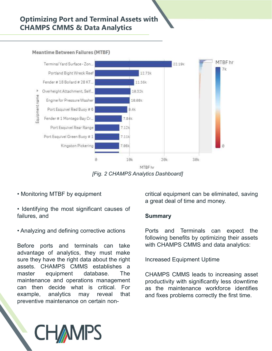### Optimizing Port and Terminal Assets with CHAMPS CMMS & Data Analytics

Meantime Between Failures (MTBF)



[Fig. 2 CHAMPS Analytics Dashboard]

- 
- 
- 

**Example 19 and 19 and 19 and 19 and 19 and 19 and 19 and 19 and 19 and 19 and 19 and 19 and 19 and 19 and 19 and 19 and 19 and 19 and 19 and 19 and 19 and 19 and 19 and 19 and 19 and 19 and 19 and 19 and 19 and 19 and 19** master equipment database. The MITHET (Fig. 2 CHAMPS Analytics Dashboard)<br>
MITHET (Fig. 2 CHAMPS Analytics Dashboard)<br>
MITHET (Fig. 2 CHAMPS Analytics Dashboard)<br>
Analyzing the most significant causes of<br>
Summary<br>
Analyzing and defining corrective acti Fig. 2 CHAMPS Analytics Dashboard]<br>
• Monitoring MTBF by equipment<br>
• identifying the most significant causes of<br>
failures, and<br>
• Analyzing and defining corrective actions<br>
• Analyzing and defining corrective actions<br>
• F FRE by equipment<br>
For the most significant causes of<br>
Fallures, and<br>
Fallures, and<br>
Fallures, and<br>
Fallures, and<br>
Fallures, and<br>
Fallures, and<br>
Fallures, and<br>
Fallures, and<br>
Fallures, they must may reveal that<br>
Fallures an • Monitoring MTBF by equipment<br>
a great deal of time and money.<br>
• Identifying the most significant causes of<br>
failures, and<br>
• Analyzing and defining corrective actions<br> **Example 19.1**<br> **Example 19.1**<br> **Example 19.1**<br> **Ex** 

### Summary

EFF<br>
The distribution of the same of the selection of the selection<br>
Certical equipment can be eliminated, saving<br>
a great deal of time and money.<br> **Summary**<br>
Ports and Terminals can expect the<br>
following benefits by optim BFhr<br>
fics Dashboard]<br>
critical equipment can be eliminated, saving<br>
a great deal of time and money.<br> **Summary**<br>
Ports and Terminals can expect the<br>
following benefits by optimizing their assets<br>
with CHAMPS CMMS and data Frical equipment can be eliminated, saving<br>a great deal of time and money.<br>**Summary**<br>Ports and Terminals can expect the<br>following benefits by optimizing their assets<br>with CHAMPS CMMS and data analytics:<br>Increased Equipment critical equipment can be eliminated, saving<br>a great deal of time and money.<br>Summary<br>Ports and Terminals can expect the<br>following benefits by optimizing their assets<br>with CHAMPS CMMS and data analytics:<br>Increased Equipment